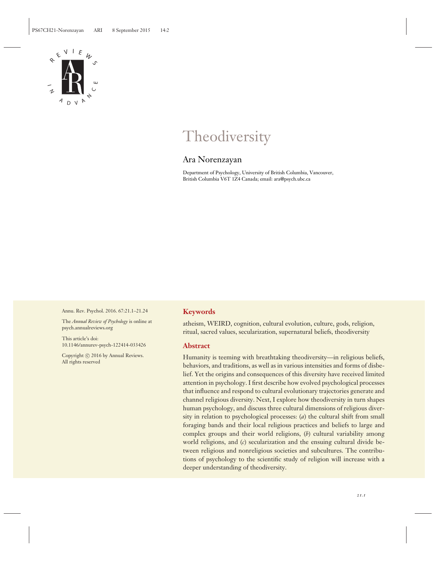

# Theodiversity

# Ara Norenzayan

Department of Psychology, University of British Columbia, Vancouver, British Columbia V6T 1Z4 Canada; email: ara@psych.ubc.ca

Annu. Rev. Psychol. 2016. 67:21.1–21.24

The *Annual Review of Psychology* is online at psych.annualreviews.org

This article's doi: 10.1146/annurev-psych-122414-033426

Copyright © 2016 by Annual Reviews. All rights reserved

#### **Keywords**

atheism, WEIRD, cognition, cultural evolution, culture, gods, religion, ritual, sacred values, secularization, supernatural beliefs, theodiversity

#### **Abstract**

Humanity is teeming with breathtaking theodiversity—in religious beliefs, behaviors, and traditions, as well as in various intensities and forms of disbelief. Yet the origins and consequences of this diversity have received limited attention in psychology. I first describe how evolved psychological processes that influence and respond to cultural evolutionary trajectories generate and channel religious diversity. Next, I explore how theodiversity in turn shapes human psychology, and discuss three cultural dimensions of religious diversity in relation to psychological processes: (*a*) the cultural shift from small foraging bands and their local religious practices and beliefs to large and complex groups and their world religions, (*b*) cultural variability among world religions, and (*c*) secularization and the ensuing cultural divide between religious and nonreligious societies and subcultures. The contributions of psychology to the scientific study of religion will increase with a deeper understanding of theodiversity.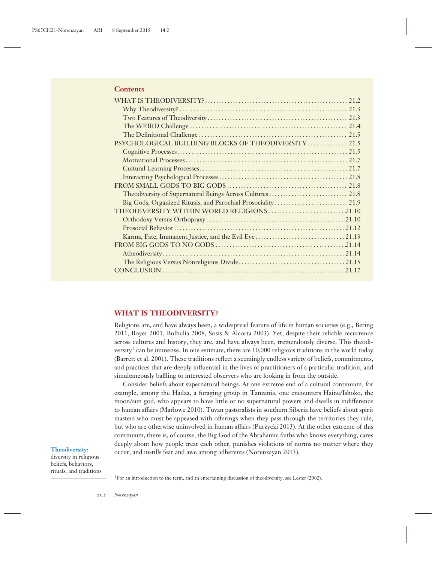| <b>Contents</b>                                           |  |
|-----------------------------------------------------------|--|
|                                                           |  |
|                                                           |  |
|                                                           |  |
|                                                           |  |
|                                                           |  |
| PSYCHOLOGICAL BUILDING BLOCKS OF THEODIVERSITY  21.5      |  |
|                                                           |  |
|                                                           |  |
|                                                           |  |
|                                                           |  |
|                                                           |  |
| Theodiversity of Supernatural Beings Across Cultures 21.8 |  |
|                                                           |  |
|                                                           |  |
|                                                           |  |
|                                                           |  |
|                                                           |  |
|                                                           |  |
|                                                           |  |
|                                                           |  |
|                                                           |  |

## **WHAT IS THEODIVERSITY?**

Religions are, and have always been, a widespread feature of life in human societies (e.g., Bering 2011, Boyer 2001, Bulbulia 2008, Sosis & Alcorta 2003). Yet, despite their reliable recurrence across cultures and history, they are, and have always been, tremendously diverse. This theodiversity<sup>1</sup> can be immense. In one estimate, there are 10,000 religious traditions in the world today (Barrett et al. 2001). These traditions reflect a seemingly endless variety of beliefs, commitments, and practices that are deeply influential in the lives of practitioners of a particular tradition, and simultaneously baffling to interested observers who are looking in from the outside.

Consider beliefs about supernatural beings. At one extreme end of a cultural continuum, for example, among the Hadza, a foraging group in Tanzania, one encounters Haine/Ishoko, the moon/sun god, who appears to have little or no supernatural powers and dwells in indifference to human affairs (Marlowe 2010). Tuvan pastoralists in southern Siberia have beliefs about spirit masters who must be appeased with offerings when they pass through the territories they rule, but who are otherwise uninvolved in human affairs (Purzycki 2013). At the other extreme of this continuum, there is, of course, the Big God of the Abrahamic faiths who knows everything, cares deeply about how people treat each other, punishes violations of norms no matter where they occur, and instills fear and awe among adherents (Norenzayan 2013).

**Theodiversity:** diversity in religious beliefs, behaviors, rituals, and traditions

<sup>&</sup>lt;sup>1</sup> For an introduction to the term, and an entertaining discussion of theodiversity, see Lester (2002).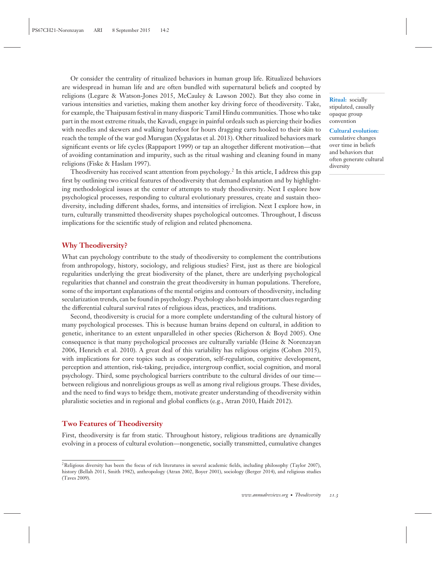Or consider the centrality of ritualized behaviors in human group life. Ritualized behaviors are widespread in human life and are often bundled with supernatural beliefs and coopted by religions (Legare & Watson-Jones 2015, McCauley & Lawson 2002). But they also come in various intensities and varieties, making them another key driving force of theodiversity. Take, for example, the Thaipusam festival in many diasporic Tamil Hindu communities. Those who take part in the most extreme rituals, the Kavadi, engage in painful ordeals such as piercing their bodies with needles and skewers and walking barefoot for hours dragging carts hooked to their skin to reach the temple of the war god Murugan (Xygalatas et al. 2013). Other ritualized behaviors mark significant events or life cycles (Rappaport 1999) or tap an altogether different motivation—that of avoiding contamination and impurity, such as the ritual washing and cleaning found in many religions (Fiske & Haslam 1997).

Theodiversity has received scant attention from psychology.2 In this article, I address this gap first by outlining two critical features of theodiversity that demand explanation and by highlighting methodological issues at the center of attempts to study theodiversity. Next I explore how psychological processes, responding to cultural evolutionary pressures, create and sustain theodiversity, including different shades, forms, and intensities of irreligion. Next I explore how, in turn, culturally transmitted theodiversity shapes psychological outcomes. Throughout, I discuss implications for the scientific study of religion and related phenomena.

#### **Why Theodiversity?**

What can psychology contribute to the study of theodiversity to complement the contributions from anthropology, history, sociology, and religious studies? First, just as there are biological regularities underlying the great biodiversity of the planet, there are underlying psychological regularities that channel and constrain the great theodiversity in human populations. Therefore, some of the important explanations of the mental origins and contours of theodiversity, including secularization trends, can be found in psychology. Psychology also holds important clues regarding the differential cultural survival rates of religious ideas, practices, and traditions.

Second, theodiversity is crucial for a more complete understanding of the cultural history of many psychological processes. This is because human brains depend on cultural, in addition to genetic, inheritance to an extent unparalleled in other species (Richerson & Boyd 2005). One consequence is that many psychological processes are culturally variable (Heine & Norenzayan 2006, Henrich et al. 2010). A great deal of this variability has religious origins (Cohen 2015), with implications for core topics such as cooperation, self-regulation, cognitive development, perception and attention, risk-taking, prejudice, intergroup conflict, social cognition, and moral psychology. Third, some psychological barriers contribute to the cultural divides of our time between religious and nonreligious groups as well as among rival religious groups. These divides, and the need to find ways to bridge them, motivate greater understanding of theodiversity within pluralistic societies and in regional and global conflicts (e.g., Atran 2010, Haidt 2012).

### **Two Features of Theodiversity**

First, theodiversity is far from static. Throughout history, religious traditions are dynamically evolving in a process of cultural evolution—nongenetic, socially transmitted, cumulative changes

**Ritual:** socially stipulated, causally opaque group convention

**Cultural evolution:** cumulative changes over time in beliefs and behaviors that often generate cultural diversity

<sup>&</sup>lt;sup>2</sup>Religious diversity has been the focus of rich literatures in several academic fields, including philosophy (Taylor 2007), history (Bellah 2011, Smith 1982), anthropology (Atran 2002, Boyer 2001), sociology (Berger 2014), and religious studies (Taves 2009).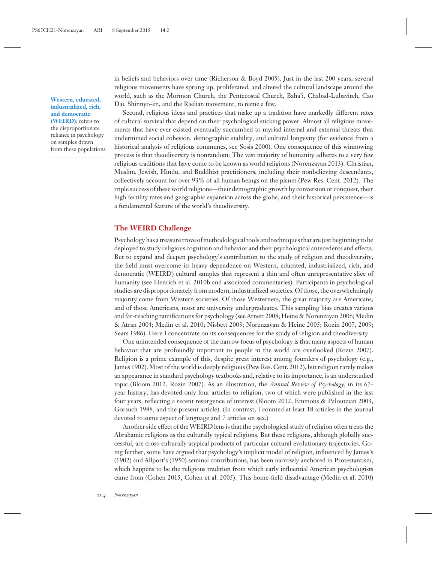**Western, educated, industrialized, rich, and democratic (WEIRD):** refers to the disproportionate reliance in psychology on samples drawn from these populations in beliefs and behaviors over time (Richerson & Boyd 2005). Just in the last 200 years, several religious movements have sprung up, proliferated, and altered the cultural landscape around the world, such as the Mormon Church, the Pentecostal Church, Baha'i, Chabad-Lubavitch, Cao Dai, Shinnyo-en, and the Raelian movement, to name a few.

Second, religious ideas and practices that make up a tradition have markedly different rates of cultural survival that depend on their psychological sticking power. Almost all religious movements that have ever existed eventually succumbed to myriad internal and external threats that undermined social cohesion, demographic stability, and cultural longevity (for evidence from a historical analysis of religious communes, see Sosis 2000). One consequence of this winnowing process is that theodiversity is nonrandom: The vast majority of humanity adheres to a very few religious traditions that have come to be known as world religions (Norenzayan 2013). Christian, Muslim, Jewish, Hindu, and Buddhist practitioners, including their nonbelieving descendants, collectively account for over 93% of all human beings on the planet (Pew Res. Cent. 2012). The triple success of these world religions—their demographic growth by conversion or conquest, their high fertility rates and geographic expansion across the globe, and their historical persistence—is a fundamental feature of the world's theodiversity.

#### **The WEIRD Challenge**

Psychology has a treasure trove of methodological tools and techniques that are just beginning to be deployed to study religious cognition and behavior and their psychological antecedents and effects. But to expand and deepen psychology's contribution to the study of religion and theodiversity, the field must overcome its heavy dependence on Western, educated, industrialized, rich, and democratic (WEIRD) cultural samples that represent a thin and often unrepresentative slice of humanity (see Henrich et al. 2010b and associated commentaries). Participants in psychological studies are disproportionately from modern, industrialized societies. Of those, the overwhelmingly majority come from Western societies. Of those Westerners, the great majority are Americans, and of those Americans, most are university undergraduates. This sampling bias creates various and far-reaching ramifications for psychology (see Arnett 2008; Heine & Norenzayan 2006; Medin & Atran 2004; Medin et al. 2010; Nisbett 2003; Norenzayan & Heine 2005; Rozin 2007, 2009; Sears 1986). Here I concentrate on its consequences for the study of religion and theodiversity.

One unintended consequence of the narrow focus of psychology is that many aspects of human behavior that are profoundly important to people in the world are overlooked (Rozin 2007). Religion is a prime example of this, despite great interest among founders of psychology (e.g., James 1902). Most of the world is deeply religious (Pew Res. Cent. 2012), but religion rarely makes an appearance in standard psychology textbooks and, relative to its importance, is an understudied topic (Bloom 2012, Rozin 2007). As an illustration, the *Annual Review of Psychology*, in its 67 year history, has devoted only four articles to religion, two of which were published in the last four years, reflecting a recent resurgence of interest (Bloom 2012, Emmons & Paloutzian 2003, Gorsuch 1988, and the present article). (In contrast, I counted at least 18 articles in the journal devoted to some aspect of language and 7 articles on sex.)

Another side effect of theWEIRD lens is that the psychological study of religion often treats the Abrahamic religions as the culturally typical religions. But these religions, although globally successful, are cross-culturally atypical products of particular cultural evolutionary trajectories. Going further, some have argued that psychology's implicit model of religion, influenced by James's (1902) and Allport's (1950) seminal contributions, has been narrowly anchored in Protestantism, which happens to be the religious tradition from which early influential American psychologists came from (Cohen 2015, Cohen et al. 2005). This home-field disadvantage (Medin et al. 2010)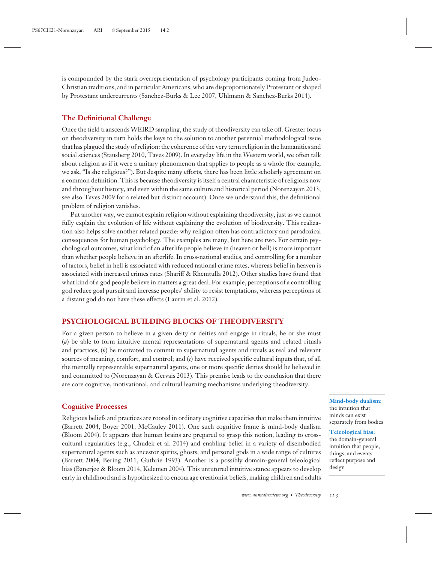is compounded by the stark overrepresentation of psychology participants coming from Judeo-Christian traditions, and in particular Americans, who are disproportionately Protestant or shaped by Protestant undercurrents (Sanchez-Burks & Lee 2007, Uhlmann & Sanchez-Burks 2014).

# **The Definitional Challenge**

Once the field transcends WEIRD sampling, the study of theodiversity can take off. Greater focus on theodiversity in turn holds the keys to the solution to another perennial methodological issue that has plagued the study of religion: the coherence of the very term religion in the humanities and social sciences (Stausberg 2010, Taves 2009). In everyday life in the Western world, we often talk about religion as if it were a unitary phenomenon that applies to people as a whole (for example, we ask, "Is she religious?"). But despite many efforts, there has been little scholarly agreement on a common definition. This is because theodiversity is itself a central characteristic of religions now and throughout history, and even within the same culture and historical period (Norenzayan 2013; see also Taves 2009 for a related but distinct account). Once we understand this, the definitional problem of religion vanishes.

Put another way, we cannot explain religion without explaining theodiversity, just as we cannot fully explain the evolution of life without explaining the evolution of biodiversity. This realization also helps solve another related puzzle: why religion often has contradictory and paradoxical consequences for human psychology. The examples are many, but here are two. For certain psychological outcomes, what kind of an afterlife people believe in (heaven or hell) is more important than whether people believe in an afterlife. In cross-national studies, and controlling for a number of factors, belief in hell is associated with reduced national crime rates, whereas belief in heaven is associated with increased crimes rates (Shariff & Rhemtulla 2012). Other studies have found that what kind of a god people believe in matters a great deal. For example, perceptions of a controlling god reduce goal pursuit and increase peoples' ability to resist temptations, whereas perceptions of a distant god do not have these effects (Laurin et al. 2012).

## **PSYCHOLOGICAL BUILDING BLOCKS OF THEODIVERSITY**

For a given person to believe in a given deity or deities and engage in rituals, he or she must (*a*) be able to form intuitive mental representations of supernatural agents and related rituals and practices; (*b*) be motivated to commit to supernatural agents and rituals as real and relevant sources of meaning, comfort, and control; and (*c*) have received specific cultural inputs that, of all the mentally representable supernatural agents, one or more specific deities should be believed in and committed to (Norenzayan & Gervais 2013). This premise leads to the conclusion that there are core cognitive, motivational, and cultural learning mechanisms underlying theodiversity.

## **Cognitive Processes**

Religious beliefs and practices are rooted in ordinary cognitive capacities that make them intuitive (Barrett 2004, Boyer 2001, McCauley 2011). One such cognitive frame is mind-body dualism (Bloom 2004). It appears that human brains are prepared to grasp this notion, leading to crosscultural regularities (e.g., Chudek et al. 2014) and enabling belief in a variety of disembodied supernatural agents such as ancestor spirits, ghosts, and personal gods in a wide range of cultures (Barrett 2004, Bering 2011, Guthrie 1993). Another is a possibly domain-general teleological bias (Banerjee & Bloom 2014, Kelemen 2004). This untutored intuitive stance appears to develop early in childhood and is hypothesized to encourage creationist beliefs, making children and adults **Mind-body dualism:** the intuition that minds can exist separately from bodies

**Teleological bias:**

the domain-general intuition that people, things, and events reflect purpose and design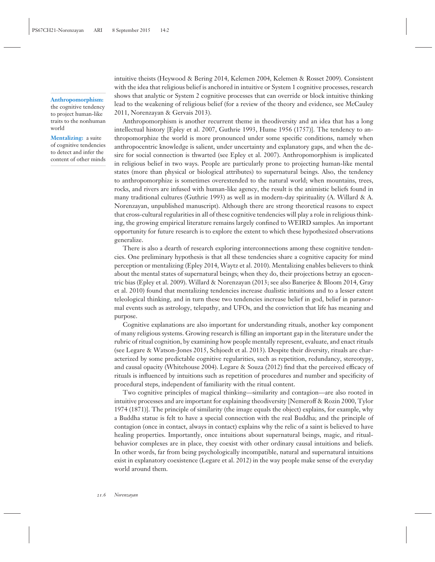**Anthropomorphism:** the cognitive tendency

to project human-like traits to the nonhuman world

**Mentalizing:** a suite of cognitive tendencies to detect and infer the content of other minds intuitive theists (Heywood & Bering 2014, Kelemen 2004, Kelemen & Rosset 2009). Consistent with the idea that religious belief is anchored in intuitive or System 1 cognitive processes, research shows that analytic or System 2 cognitive processes that can override or block intuitive thinking lead to the weakening of religious belief (for a review of the theory and evidence, see McCauley 2011, Norenzayan & Gervais 2013).

Anthropomorphism is another recurrent theme in theodiversity and an idea that has a long intellectual history [Epley et al. 2007, Guthrie 1993, Hume 1956 (1757)]. The tendency to anthropomorphize the world is more pronounced under some specific conditions, namely when anthropocentric knowledge is salient, under uncertainty and explanatory gaps, and when the desire for social connection is thwarted (see Epley et al. 2007). Anthropomorphism is implicated in religious belief in two ways. People are particularly prone to projecting human-like mental states (more than physical or biological attributes) to supernatural beings. Also, the tendency to anthropomorphize is sometimes overextended to the natural world; when mountains, trees, rocks, and rivers are infused with human-like agency, the result is the animistic beliefs found in many traditional cultures (Guthrie 1993) as well as in modern-day spirituality (A. Willard & A. Norenzayan, unpublished manuscript). Although there are strong theoretical reasons to expect that cross-cultural regularities in all of these cognitive tendencies will play a role in religious thinking, the growing empirical literature remains largely confined to WEIRD samples. An important opportunity for future research is to explore the extent to which these hypothesized observations generalize.

There is also a dearth of research exploring interconnections among these cognitive tendencies. One preliminary hypothesis is that all these tendencies share a cognitive capacity for mind perception or mentalizing (Epley 2014, Waytz et al. 2010). Mentalizing enables believers to think about the mental states of supernatural beings; when they do, their projections betray an egocentric bias (Epley et al. 2009). Willard & Norenzayan (2013; see also Banerjee & Bloom 2014, Gray et al. 2010) found that mentalizing tendencies increase dualistic intuitions and to a lesser extent teleological thinking, and in turn these two tendencies increase belief in god, belief in paranormal events such as astrology, telepathy, and UFOs, and the conviction that life has meaning and purpose.

Cognitive explanations are also important for understanding rituals, another key component of many religious systems. Growing research is filling an important gap in the literature under the rubric of ritual cognition, by examining how people mentally represent, evaluate, and enact rituals (see Legare & Watson-Jones 2015, Schjoedt et al. 2013). Despite their diversity, rituals are characterized by some predictable cognitive regularities, such as repetition, redundancy, stereotypy, and causal opacity (Whitehouse 2004). Legare & Souza (2012) find that the perceived efficacy of rituals is influenced by intuitions such as repetition of procedures and number and specificity of procedural steps, independent of familiarity with the ritual content.

Two cognitive principles of magical thinking—similarity and contagion—are also rooted in intuitive processes and are important for explaining theodiversity [Nemeroff & Rozin 2000, Tylor 1974 (1871)]. The principle of similarity (the image equals the object) explains, for example, why a Buddha statue is felt to have a special connection with the real Buddha; and the principle of contagion (once in contact, always in contact) explains why the relic of a saint is believed to have healing properties. Importantly, once intuitions about supernatural beings, magic, and ritualbehavior complexes are in place, they coexist with other ordinary causal intuitions and beliefs. In other words, far from being psychologically incompatible, natural and supernatural intuitions exist in explanatory coexistence (Legare et al. 2012) in the way people make sense of the everyday world around them.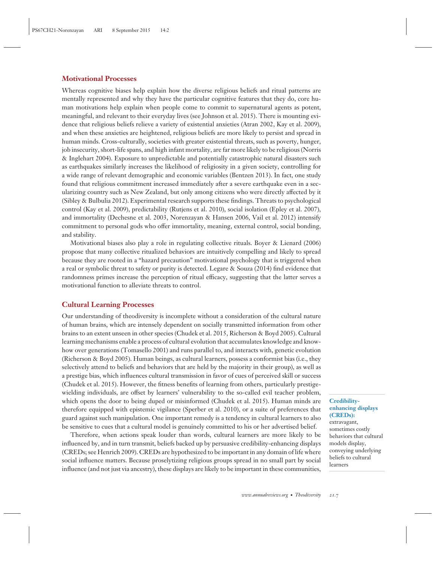#### **Motivational Processes**

Whereas cognitive biases help explain how the diverse religious beliefs and ritual patterns are mentally represented and why they have the particular cognitive features that they do, core human motivations help explain when people come to commit to supernatural agents as potent, meaningful, and relevant to their everyday lives (see Johnson et al. 2015). There is mounting evidence that religious beliefs relieve a variety of existential anxieties (Atran 2002, Kay et al. 2009), and when these anxieties are heightened, religious beliefs are more likely to persist and spread in human minds. Cross-culturally, societies with greater existential threats, such as poverty, hunger, job insecurity, short-life spans, and high infant mortality, are far more likely to be religious (Norris & Inglehart 2004). Exposure to unpredictable and potentially catastrophic natural disasters such as earthquakes similarly increases the likelihood of religiosity in a given society, controlling for a wide range of relevant demographic and economic variables (Bentzen 2013). In fact, one study found that religious commitment increased immediately after a severe earthquake even in a secularizing country such as New Zealand, but only among citizens who were directly affected by it (Sibley & Bulbulia 2012). Experimental research supports these findings. Threats to psychological control (Kay et al. 2009), predictability (Rutjens et al. 2010), social isolation (Epley et al. 2007), and immortality (Dechesne et al. 2003, Norenzayan & Hansen 2006, Vail et al. 2012) intensify commitment to personal gods who offer immortality, meaning, external control, social bonding, and stability.

Motivational biases also play a role in regulating collective rituals. Boyer & Lienard (2006) propose that many collective ritualized behaviors are intuitively compelling and likely to spread because they are rooted in a "hazard precaution" motivational psychology that is triggered when a real or symbolic threat to safety or purity is detected. Legare & Souza (2014) find evidence that randomness primes increase the perception of ritual efficacy, suggesting that the latter serves a motivational function to alleviate threats to control.

#### **Cultural Learning Processes**

Our understanding of theodiversity is incomplete without a consideration of the cultural nature of human brains, which are intensely dependent on socially transmitted information from other brains to an extent unseen in other species (Chudek et al. 2015, Richerson & Boyd 2005). Cultural learning mechanisms enable a process of cultural evolution that accumulates knowledge and knowhow over generations (Tomasello 2001) and runs parallel to, and interacts with, genetic evolution (Richerson & Boyd 2005). Human beings, as cultural learners, possess a conformist bias (i.e., they selectively attend to beliefs and behaviors that are held by the majority in their group), as well as a prestige bias, which influences cultural transmission in favor of cues of perceived skill or success (Chudek et al. 2015). However, the fitness benefits of learning from others, particularly prestigewielding individuals, are offset by learners' vulnerability to the so-called evil teacher problem, which opens the door to being duped or misinformed (Chudek et al. 2015). Human minds are therefore equipped with epistemic vigilance (Sperber et al. 2010), or a suite of preferences that guard against such manipulation. One important remedy is a tendency in cultural learners to also be sensitive to cues that a cultural model is genuinely committed to his or her advertised belief.

Therefore, when actions speak louder than words, cultural learners are more likely to be influenced by, and in turn transmit, beliefs backed up by persuasive credibility-enhancing displays (CREDs; see Henrich 2009). CREDs are hypothesized to be important in any domain of life where social influence matters. Because proselytizing religious groups spread in no small part by social influence (and not just via ancestry), these displays are likely to be important in these communities,

# **Credibilityenhancing displays (CREDs):**

extravagant, sometimes costly behaviors that cultural models display, conveying underlying beliefs to cultural learners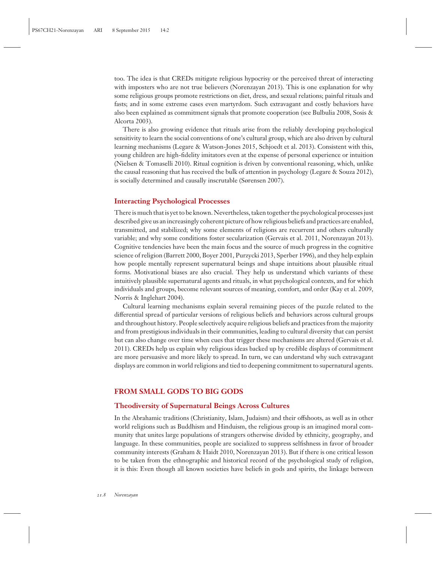too. The idea is that CREDs mitigate religious hypocrisy or the perceived threat of interacting with imposters who are not true believers (Norenzayan 2013). This is one explanation for why some religious groups promote restrictions on diet, dress, and sexual relations; painful rituals and fasts; and in some extreme cases even martyrdom. Such extravagant and costly behaviors have also been explained as commitment signals that promote cooperation (see Bulbulia 2008, Sosis & Alcorta 2003).

There is also growing evidence that rituals arise from the reliably developing psychological sensitivity to learn the social conventions of one's cultural group, which are also driven by cultural learning mechanisms (Legare & Watson-Jones 2015, Schjoedt et al. 2013). Consistent with this, young children are high-fidelity imitators even at the expense of personal experience or intuition (Nielsen & Tomaselli 2010). Ritual cognition is driven by conventional reasoning, which, unlike the causal reasoning that has received the bulk of attention in psychology (Legare & Souza 2012), is socially determined and causally inscrutable (Sørensen 2007).

#### **Interacting Psychological Processes**

There is much that is yet to be known. Nevertheless, taken together the psychological processes just described give us an increasingly coherent picture of how religious beliefs and practices are enabled, transmitted, and stabilized; why some elements of religions are recurrent and others culturally variable; and why some conditions foster secularization (Gervais et al. 2011, Norenzayan 2013). Cognitive tendencies have been the main focus and the source of much progress in the cognitive science of religion (Barrett 2000, Boyer 2001, Purzycki 2013, Sperber 1996), and they help explain how people mentally represent supernatural beings and shape intuitions about plausible ritual forms. Motivational biases are also crucial. They help us understand which variants of these intuitively plausible supernatural agents and rituals, in what psychological contexts, and for which individuals and groups, become relevant sources of meaning, comfort, and order (Kay et al. 2009, Norris & Inglehart 2004).

Cultural learning mechanisms explain several remaining pieces of the puzzle related to the differential spread of particular versions of religious beliefs and behaviors across cultural groups and throughout history. People selectively acquire religious beliefs and practices from the majority and from prestigious individuals in their communities, leading to cultural diversity that can persist but can also change over time when cues that trigger these mechanisms are altered (Gervais et al. 2011). CREDs help us explain why religious ideas backed up by credible displays of commitment are more persuasive and more likely to spread. In turn, we can understand why such extravagant displays are common in world religions and tied to deepening commitment to supernatural agents.

#### **FROM SMALL GODS TO BIG GODS**

#### **Theodiversity of Supernatural Beings Across Cultures**

In the Abrahamic traditions (Christianity, Islam, Judaism) and their offshoots, as well as in other world religions such as Buddhism and Hinduism, the religious group is an imagined moral community that unites large populations of strangers otherwise divided by ethnicity, geography, and language. In these communities, people are socialized to suppress selfishness in favor of broader community interests (Graham & Haidt 2010, Norenzayan 2013). But if there is one critical lesson to be taken from the ethnographic and historical record of the psychological study of religion, it is this: Even though all known societies have beliefs in gods and spirits, the linkage between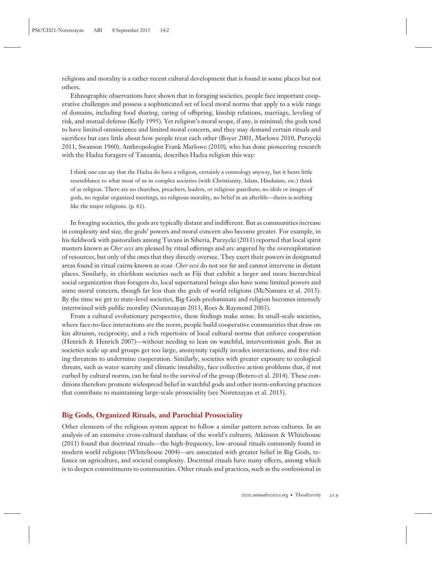religions and morality is a rather recent cultural development that is found in some places but not others.

Ethnographic observations have shown that in foraging societies, people face important cooperative challenges and possess a sophisticated set of local moral norms that apply to a wide range of domains, including food sharing, caring of offspring, kinship relations, marriage, leveling of risk, and mutual defense (Kelly 1995). Yet religion's moral scope, if any, is minimal; the gods tend to have limited omniscience and limited moral concern, and they may demand certain rituals and sacrifices but care little about how people treat each other (Boyer 2001, Marlowe 2010, Purzycki 2011, Swanson 1960). Anthropologist Frank Marlowe (2010), who has done pioneering research with the Hadza foragers of Tanzania, describes Hadza religion this way:

I think one can say that the Hadza do have a religion, certainly a cosmology anyway, but it bears little resemblance to what most of us in complex societies (with Christianity, Islam, Hinduism, etc.) think of as religion. There are no churches, preachers, leaders, or religious guardians, no idols or images of gods, no regular organized meetings, no religious morality, no belief in an afterlife—theirs is nothing like the major religions. (p. 61).

In foraging societies, the gods are typically distant and indifferent. But as communities increase in complexity and size, the gods' powers and moral concern also become greater. For example, in his fieldwork with pastoralists among Tuvans in Siberia, Purzycki (2011) reported that local spirit masters known as *Cher eezi* are pleased by ritual offerings and are angered by the overexploitation of resources, but only of the ones that they directly oversee. They exert their powers in designated areas found in ritual cairns known as *ovaa*. *Cher eezi* do not see far and cannot intervene in distant places. Similarly, in chiefdom societies such as Fiji that exhibit a larger and more hierarchical social organization than foragers do, local supernatural beings also have some limited powers and some moral concern, though far less than the gods of world religions (McNamara et al. 2015). By the time we get to state-level societies, Big Gods predominate and religion becomes intensely intertwined with public morality (Norenzayan 2013, Roes & Raymond 2003).

From a cultural evolutionary perspective, these findings make sense. In small-scale societies, where face-to-face interactions are the norm, people build cooperative communities that draw on kin altruism, reciprocity, and a rich repertoire of local cultural norms that enforce cooperation (Henrich & Henrich 2007)—without needing to lean on watchful, interventionist gods. But as societies scale up and groups get too large, anonymity rapidly invades interactions, and free riding threatens to undermine cooperation. Similarly, societies with greater exposure to ecological threats, such as water scarcity and climatic instability, face collective action problems that, if not curbed by cultural norms, can be fatal to the survival of the group (Botero et al. 2014). These conditions therefore promote widespread belief in watchful gods and other norm-enforcing practices that contribute to maintaining large-scale prosociality (see Norenzayan et al. 2015).

#### **Big Gods, Organized Rituals, and Parochial Prosociality**

Other elements of the religious system appear to follow a similar pattern across cultures. In an analysis of an extensive cross-cultural database of the world's cultures, Atkinson & Whitehouse (2011) found that doctrinal rituals—the high-frequency, low-arousal rituals commonly found in modern world religions (Whitehouse 2004)—are associated with greater belief in Big Gods, reliance on agriculture, and societal complexity. Doctrinal rituals have many effects, among which is to deepen commitments to communities. Other rituals and practices, such as the confessional in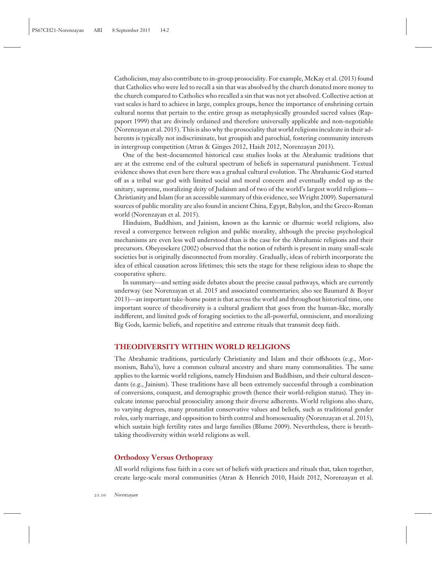Catholicism, may also contribute to in-group prosociality. For example, McKay et al. (2013) found that Catholics who were led to recall a sin that was absolved by the church donated more money to the church compared to Catholics who recalled a sin that was not yet absolved. Collective action at vast scales is hard to achieve in large, complex groups, hence the importance of enshrining certain cultural norms that pertain to the entire group as metaphysically grounded sacred values (Rappaport 1999) that are divinely ordained and therefore universally applicable and non-negotiable (Norenzayan et al. 2015). This is also why the prosociality that world religions inculcate in their adherents is typically not indiscriminate, but groupish and parochial, fostering community interests in intergroup competition (Atran & Ginges 2012, Haidt 2012, Norenzayan 2013).

One of the best-documented historical case studies looks at the Abrahamic traditions that are at the extreme end of the cultural spectrum of beliefs in supernatural punishment. Textual evidence shows that even here there was a gradual cultural evolution. The Abrahamic God started off as a tribal war god with limited social and moral concern and eventually ended up as the unitary, supreme, moralizing deity of Judaism and of two of the world's largest world religions— Christianity and Islam (for an accessible summary of this evidence, seeWright 2009). Supernatural sources of public morality are also found in ancient China, Egypt, Babylon, and the Greco-Roman world (Norenzayan et al. 2015).

Hinduism, Buddhism, and Jainism, known as the karmic or dharmic world religions, also reveal a convergence between religion and public morality, although the precise psychological mechanisms are even less well understood than is the case for the Abrahamic religions and their precursors. Obeyesekere (2002) observed that the notion of rebirth is present in many small-scale societies but is originally disconnected from morality. Gradually, ideas of rebirth incorporate the idea of ethical causation across lifetimes; this sets the stage for these religious ideas to shape the cooperative sphere.

In summary—and setting aside debates about the precise causal pathways, which are currently underway (see Norenzayan et al. 2015 and associated commentaries; also see Baumard & Boyer 2013)—an important take-home point is that across the world and throughout historical time, one important source of theodiversity is a cultural gradient that goes from the human-like, morally indifferent, and limited gods of foraging societies to the all-powerful, omniscient, and moralizing Big Gods, karmic beliefs, and repetitive and extreme rituals that transmit deep faith.

#### **THEODIVERSITY WITHIN WORLD RELIGIONS**

The Abrahamic traditions, particularly Christianity and Islam and their offshoots (e.g., Mormonism, Baha'i), have a common cultural ancestry and share many commonalities. The same applies to the karmic world religions, namely Hinduism and Buddhism, and their cultural descendants (e.g., Jainism). These traditions have all been extremely successful through a combination of conversions, conquest, and demographic growth (hence their world-religion status). They inculcate intense parochial prosociality among their diverse adherents. World religions also share, to varying degrees, many pronatalist conservative values and beliefs, such as traditional gender roles, early marriage, and opposition to birth control and homosexuality (Norenzayan et al. 2015), which sustain high fertility rates and large families (Blume 2009). Nevertheless, there is breathtaking theodiversity within world religions as well.

# **Orthodoxy Versus Orthopraxy**

All world religions fuse faith in a core set of beliefs with practices and rituals that, taken together, create large-scale moral communities (Atran & Henrich 2010, Haidt 2012, Norenzayan et al.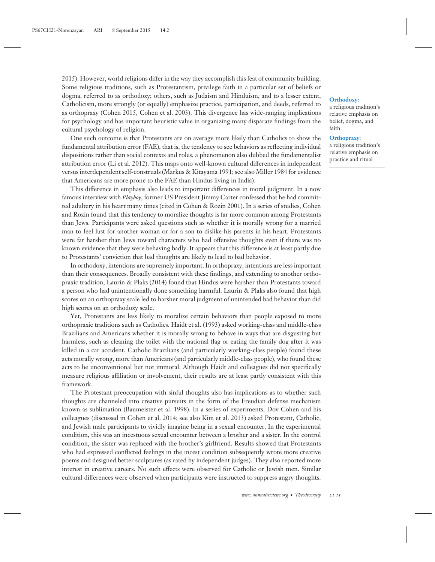2015). However, world religions differ in the way they accomplish this feat of community building. Some religious traditions, such as Protestantism, privilege faith in a particular set of beliefs or dogma, referred to as orthodoxy; others, such as Judaism and Hinduism, and to a lesser extent, Catholicism, more strongly (or equally) emphasize practice, participation, and deeds, referred to as orthopraxy (Cohen 2015, Cohen et al. 2003). This divergence has wide-ranging implications for psychology and has important heuristic value in organizing many disparate findings from the cultural psychology of religion.

One such outcome is that Protestants are on average more likely than Catholics to show the fundamental attribution error (FAE), that is, the tendency to see behaviors as reflecting individual dispositions rather than social contexts and roles, a phenomenon also dubbed the fundamentalist attribution error (Li et al. 2012). This maps onto well-known cultural differences in independent versus interdependent self-construals (Markus & Kitayama 1991; see also Miller 1984 for evidence that Americans are more prone to the FAE than Hindus living in India).

This difference in emphasis also leads to important differences in moral judgment. In a now famous interview with *Playboy*, former US President Jimmy Carter confessed that he had committed adultery in his heart many times (cited in Cohen & Rozin 2001). In a series of studies, Cohen and Rozin found that this tendency to moralize thoughts is far more common among Protestants than Jews. Participants were asked questions such as whether it is morally wrong for a married man to feel lust for another woman or for a son to dislike his parents in his heart. Protestants were far harsher than Jews toward characters who had offensive thoughts even if there was no known evidence that they were behaving badly. It appears that this difference is at least partly due to Protestants' conviction that bad thoughts are likely to lead to bad behavior.

In orthodoxy, intentions are supremely important. In orthopraxy, intentions are less important than their consequences. Broadly consistent with these findings, and extending to another orthopraxic tradition, Laurin & Plaks (2014) found that Hindus were harsher than Protestants toward a person who had unintentionally done something harmful. Laurin & Plaks also found that high scores on an orthopraxy scale led to harsher moral judgment of unintended bad behavior than did high scores on an orthodoxy scale.

Yet, Protestants are less likely to moralize certain behaviors than people exposed to more orthopraxic traditions such as Catholics. Haidt et al. (1993) asked working-class and middle-class Brazilians and Americans whether it is morally wrong to behave in ways that are disgusting but harmless, such as cleaning the toilet with the national flag or eating the family dog after it was killed in a car accident. Catholic Brazilians (and particularly working-class people) found these acts morally wrong, more than Americans (and particularly middle-class people), who found these acts to be unconventional but not immoral. Although Haidt and colleagues did not specifically measure religious affiliation or involvement, their results are at least partly consistent with this framework.

The Protestant preoccupation with sinful thoughts also has implications as to whether such thoughts are channeled into creative pursuits in the form of the Freudian defense mechanism known as sublimation (Baumeister et al. 1998). In a series of experiments, Dov Cohen and his colleagues (discussed in Cohen et al. 2014; see also Kim et al. 2013) asked Protestant, Catholic, and Jewish male participants to vividly imagine being in a sexual encounter. In the experimental condition, this was an incestuous sexual encounter between a brother and a sister. In the control condition, the sister was replaced with the brother's girlfriend. Results showed that Protestants who had expressed conflicted feelings in the incest condition subsequently wrote more creative poems and designed better sculptures (as rated by independent judges). They also reported more interest in creative careers. No such effects were observed for Catholic or Jewish men. Similar cultural differences were observed when participants were instructed to suppress angry thoughts.

#### **Orthodoxy:**

a religious tradition's relative emphasis on belief, dogma, and faith

#### **Orthopraxy:**

a religious tradition's relative emphasis on practice and ritual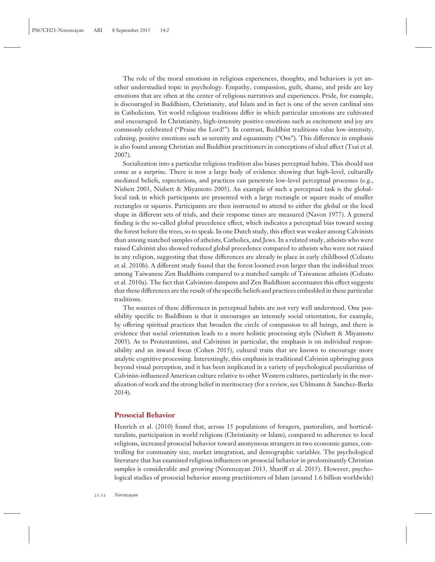The role of the moral emotions in religious experiences, thoughts, and behaviors is yet another understudied topic in psychology. Empathy, compassion, guilt, shame, and pride are key emotions that are often at the center of religious narratives and experiences. Pride, for example, is discouraged in Buddhism, Christianity, and Islam and in fact is one of the seven cardinal sins in Catholicism. Yet world religious traditions differ in which particular emotions are cultivated and encouraged. In Christianity, high-intensity positive emotions such as excitement and joy are commonly celebrated ("Praise the Lord!"). In contrast, Buddhist traditions value low-intensity, calming, positive emotions such as serenity and equanimity ("Om"). This difference in emphasis is also found among Christian and Buddhist practitioners in conceptions of ideal affect (Tsai et al. 2007).

Socialization into a particular religious tradition also biases perceptual habits. This should not come as a surprise. There is now a large body of evidence showing that high-level, culturally mediated beliefs, expectations, and practices can penetrate low-level perceptual processes (e.g., Nisbett 2003, Nisbett & Miyamoto 2005). An example of such a perceptual task is the globallocal task in which participants are presented with a large rectangle or square made of smaller rectangles or squares. Participants are then instructed to attend to either the global or the local shape in different sets of trials, and their response times are measured (Navon 1977). A general finding is the so-called global precedence effect, which indicates a perceptual bias toward seeing the forest before the trees, so to speak. In one Dutch study, this effect was weaker among Calvinists than among matched samples of atheists, Catholics, and Jews. In a related study, atheists who were raised Calvinist also showed reduced global precedence compared to atheists who were not raised in any religion, suggesting that these differences are already in place in early childhood (Colzato et al. 2010b). A different study found that the forest loomed even larger than the individual trees among Taiwanese Zen Buddhists compared to a matched sample of Taiwanese atheists (Colzato et al. 2010a). The fact that Calvinism dampens and Zen Buddhism accentuates this effect suggests that these differences are the result of the specific beliefs and practices embedded in these particular traditions.

The sources of these differences in perceptual habits are not very well understood. One possibility specific to Buddhism is that it encourages an intensely social orientation, for example, by offering spiritual practices that broaden the circle of compassion to all beings, and there is evidence that social orientation leads to a more holistic processing style (Nisbett & Miyamoto 2005). As to Protestantism, and Calvinism in particular, the emphasis is on individual responsibility and an inward focus (Cohen 2015), cultural traits that are known to encourage more analytic cognitive processing. Interestingly, this emphasis in traditional Calvinist upbringing goes beyond visual perception, and it has been implicated in a variety of psychological peculiarities of Calvinist-influenced American culture relative to other Western cultures, particularly in the moralization of work and the strong belief in meritocracy (for a review, see Uhlmann & Sanchez-Burks 2014).

#### **Prosocial Behavior**

Henrich et al. (2010) found that, across 15 populations of foragers, pastoralists, and horticulturalists, participation in world religions (Christianity or Islam), compared to adherence to local religions, increased prosocial behavior toward anonymous strangers in two economic games, controlling for community size, market integration, and demographic variables. The psychological literature that has examined religious influences on prosocial behavior in predominantly Christian samples is considerable and growing (Norenzayan 2013, Shariff et al. 2015). However, psychological studies of prosocial behavior among practitioners of Islam (around 1.6 billion worldwide)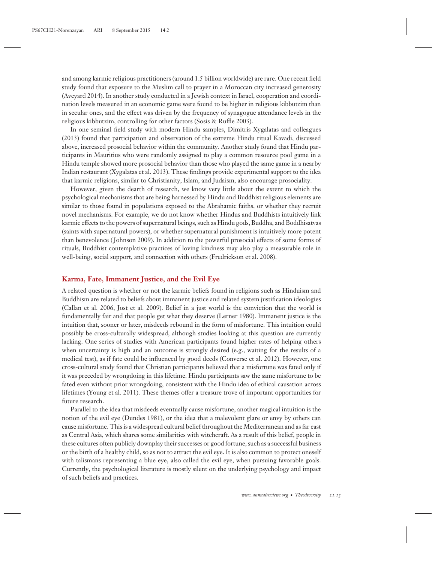and among karmic religious practitioners (around 1.5 billion worldwide) are rare. One recent field study found that exposure to the Muslim call to prayer in a Moroccan city increased generosity (Aveyard 2014). In another study conducted in a Jewish context in Israel, cooperation and coordination levels measured in an economic game were found to be higher in religious kibbutzim than in secular ones, and the effect was driven by the frequency of synagogue attendance levels in the religious kibbutzim, controlling for other factors (Sosis & Ruffle 2003).

In one seminal field study with modern Hindu samples, Dimitris Xygalatas and colleagues (2013) found that participation and observation of the extreme Hindu ritual Kavadi, discussed above, increased prosocial behavior within the community. Another study found that Hindu participants in Mauritius who were randomly assigned to play a common resource pool game in a Hindu temple showed more prosocial behavior than those who played the same game in a nearby Indian restaurant (Xygalatas et al. 2013). These findings provide experimental support to the idea that karmic religions, similar to Christianity, Islam, and Judaism, also encourage prosociality.

However, given the dearth of research, we know very little about the extent to which the psychological mechanisms that are being harnessed by Hindu and Buddhist religious elements are similar to those found in populations exposed to the Abrahamic faiths, or whether they recruit novel mechanisms. For example, we do not know whether Hindus and Buddhists intuitively link karmic effects to the powers of supernatural beings, such as Hindu gods, Buddha, and Boddhisatvas (saints with supernatural powers), or whether supernatural punishment is intuitively more potent than benevolence ( Johnson 2009). In addition to the powerful prosocial effects of some forms of rituals, Buddhist contemplative practices of loving kindness may also play a measurable role in well-being, social support, and connection with others (Fredrickson et al. 2008).

#### **Karma, Fate, Immanent Justice, and the Evil Eye**

A related question is whether or not the karmic beliefs found in religions such as Hinduism and Buddhism are related to beliefs about immanent justice and related system justification ideologies (Callan et al. 2006, Jost et al. 2009). Belief in a just world is the conviction that the world is fundamentally fair and that people get what they deserve (Lerner 1980). Immanent justice is the intuition that, sooner or later, misdeeds rebound in the form of misfortune. This intuition could possibly be cross-culturally widespread, although studies looking at this question are currently lacking. One series of studies with American participants found higher rates of helping others when uncertainty is high and an outcome is strongly desired (e.g., waiting for the results of a medical test), as if fate could be influenced by good deeds (Converse et al. 2012). However, one cross-cultural study found that Christian participants believed that a misfortune was fated only if it was preceded by wrongdoing in this lifetime. Hindu participants saw the same misfortune to be fated even without prior wrongdoing, consistent with the Hindu idea of ethical causation across lifetimes (Young et al. 2011). These themes offer a treasure trove of important opportunities for future research.

Parallel to the idea that misdeeds eventually cause misfortune, another magical intuition is the notion of the evil eye (Dundes 1981), or the idea that a malevolent glare or envy by others can cause misfortune. This is a widespread cultural belief throughout the Mediterranean and as far east as Central Asia, which shares some similarities with witchcraft. As a result of this belief, people in these cultures often publicly downplay their successes or good fortune, such as a successful business or the birth of a healthy child, so as not to attract the evil eye. It is also common to protect oneself with talismans representing a blue eye, also called the evil eye, when pursuing favorable goals. Currently, the psychological literature is mostly silent on the underlying psychology and impact of such beliefs and practices.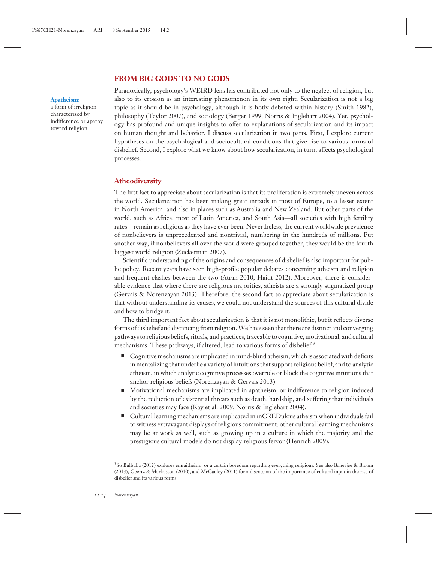# **FROM BIG GODS TO NO GODS**

#### **Apatheism:**

a form of irreligion characterized by indifference or apathy toward religion

Paradoxically, psychology's WEIRD lens has contributed not only to the neglect of religion, but also to its erosion as an interesting phenomenon in its own right. Secularization is not a big topic as it should be in psychology, although it is hotly debated within history (Smith 1982), philosophy (Taylor 2007), and sociology (Berger 1999, Norris & Inglehart 2004). Yet, psychology has profound and unique insights to offer to explanations of secularization and its impact on human thought and behavior. I discuss secularization in two parts. First, I explore current hypotheses on the psychological and sociocultural conditions that give rise to various forms of disbelief. Second, I explore what we know about how secularization, in turn, affects psychological processes.

#### **Atheodiversity**

The first fact to appreciate about secularization is that its proliferation is extremely uneven across the world. Secularization has been making great inroads in most of Europe, to a lesser extent in North America, and also in places such as Australia and New Zealand. But other parts of the world, such as Africa, most of Latin America, and South Asia—all societies with high fertility rates—remain as religious as they have ever been. Nevertheless, the current worldwide prevalence of nonbelievers is unprecedented and nontrivial, numbering in the hundreds of millions. Put another way, if nonbelievers all over the world were grouped together, they would be the fourth biggest world religion (Zuckerman 2007).

Scientific understanding of the origins and consequences of disbelief is also important for public policy. Recent years have seen high-profile popular debates concerning atheism and religion and frequent clashes between the two (Atran 2010, Haidt 2012). Moreover, there is considerable evidence that where there are religious majorities, atheists are a strongly stigmatized group (Gervais & Norenzayan 2013). Therefore, the second fact to appreciate about secularization is that without understanding its causes, we could not understand the sources of this cultural divide and how to bridge it.

The third important fact about secularization is that it is not monolithic, but it reflects diverse forms of disbelief and distancing from religion.We have seen that there are distinct and converging pathways to religious beliefs, rituals, and practices, traceable to cognitive, motivational, and cultural mechanisms. These pathways, if altered, lead to various forms of disbelief:<sup>3</sup>

- $\blacksquare$   $\blacksquare$   $\blacksquare$   $\blacksquare$   $\blacksquare$   $\blacksquare$   $\blacksquare$   $\blacksquare$   $\blacksquare$   $\blacksquare$   $\blacksquare$   $\blacksquare$   $\blacksquare$   $\blacksquare$   $\blacksquare$   $\blacksquare$   $\blacksquare$   $\blacksquare$   $\blacksquare$   $\blacksquare$   $\blacksquare$   $\blacksquare$   $\blacksquare$   $\blacksquare$   $\blacksquare$   $\blacksquare$   $\blacksquare$   $\blacksquare$   $\blacksquare$   $\blacksquare$   $\blacksquare$   $\blacks$ in mentalizing that underlie a variety of intuitions that support religious belief, and to analytic atheism, in which analytic cognitive processes override or block the cognitive intuitions that anchor religious beliefs (Norenzayan & Gervais 2013).
- - Motivational mechanisms are implicated in apatheism, or indifference to religion induced by the reduction of existential threats such as death, hardship, and suffering that individuals and societies may face (Kay et al. 2009, Norris & Inglehart 2004).
- - Cultural learning mechanisms are implicated in inCREDulous atheism when individuals fail to witness extravagant displays of religious commitment; other cultural learning mechanisms may be at work as well, such as growing up in a culture in which the majority and the prestigious cultural models do not display religious fervor (Henrich 2009).

<sup>&</sup>lt;sup>3</sup>So Bulbulia (2012) explores ennuitheism, or a certain boredom regarding everything religious. See also Banerjee & Bloom (2013), Geertz & Markusson (2010), and McCauley (2011) for a discussion of the importance of cultural input in the rise of disbelief and its various forms.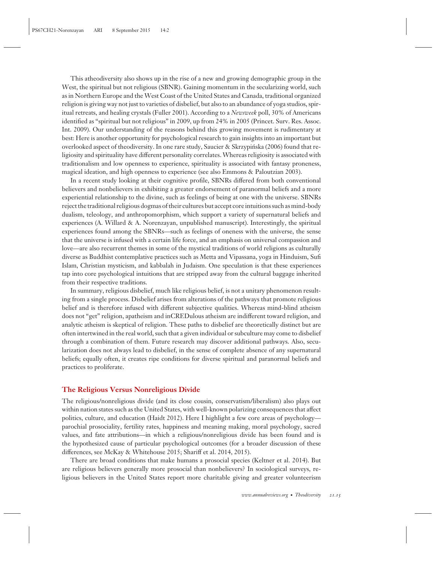This atheodiversity also shows up in the rise of a new and growing demographic group in the West, the spiritual but not religious (SBNR). Gaining momentum in the secularizing world, such as in Northern Europe and the West Coast of the United States and Canada, traditional organized religion is giving way not just to varieties of disbelief, but also to an abundance of yoga studios, spiritual retreats, and healing crystals (Fuller 2001). According to a *Newsweek* poll, 30% of Americans identified as "spiritual but not religious" in 2009, up from 24% in 2005 (Princet. Surv. Res. Assoc. Int. 2009). Our understanding of the reasons behind this growing movement is rudimentary at best: Here is another opportunity for psychological research to gain insights into an important but overlooked aspect of theodiversity. In one rare study, Saucier & Skrzypińska (2006) found that religiosity and spirituality have different personality correlates.Whereas religiosity is associated with traditionalism and low openness to experience, spirituality is associated with fantasy proneness, magical ideation, and high openness to experience (see also Emmons & Paloutzian 2003).

In a recent study looking at their cognitive profile, SBNRs differed from both conventional believers and nonbelievers in exhibiting a greater endorsement of paranormal beliefs and a more experiential relationship to the divine, such as feelings of being at one with the universe. SBNRs reject the traditional religious dogmas of their cultures but accept core intuitions such as mind-body dualism, teleology, and anthropomorphism, which support a variety of supernatural beliefs and experiences (A. Willard & A. Norenzayan, unpublished manuscript). Interestingly, the spiritual experiences found among the SBNRs—such as feelings of oneness with the universe, the sense that the universe is infused with a certain life force, and an emphasis on universal compassion and love—are also recurrent themes in some of the mystical traditions of world religions as culturally diverse as Buddhist contemplative practices such as Metta and Vipassana, yoga in Hinduism, Sufi Islam, Christian mysticism, and kabbalah in Judaism. One speculation is that these experiences tap into core psychological intuitions that are stripped away from the cultural baggage inherited from their respective traditions.

In summary, religious disbelief, much like religious belief, is not a unitary phenomenon resulting from a single process. Disbelief arises from alterations of the pathways that promote religious belief and is therefore infused with different subjective qualities. Whereas mind-blind atheism does not "get" religion, apatheism and inCREDulous atheism are indifferent toward religion, and analytic atheism is skeptical of religion. These paths to disbelief are theoretically distinct but are often intertwined in the real world, such that a given individual or subculture may come to disbelief through a combination of them. Future research may discover additional pathways. Also, secularization does not always lead to disbelief, in the sense of complete absence of any supernatural beliefs; equally often, it creates ripe conditions for diverse spiritual and paranormal beliefs and practices to proliferate.

#### **The Religious Versus Nonreligious Divide**

The religious/nonreligious divide (and its close cousin, conservatism/liberalism) also plays out within nation states such as the United States, with well-known polarizing consequences that affect politics, culture, and education (Haidt 2012). Here I highlight a few core areas of psychology parochial prosociality, fertility rates, happiness and meaning making, moral psychology, sacred values, and fate attributions—in which a religious/nonreligious divide has been found and is the hypothesized cause of particular psychological outcomes (for a broader discussion of these differences, see McKay & Whitehouse 2015; Shariff et al. 2014, 2015).

There are broad conditions that make humans a prosocial species (Keltner et al. 2014). But are religious believers generally more prosocial than nonbelievers? In sociological surveys, religious believers in the United States report more charitable giving and greater volunteerism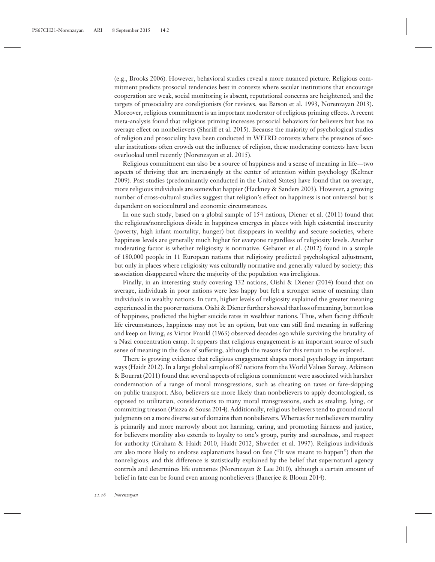(e.g., Brooks 2006). However, behavioral studies reveal a more nuanced picture. Religious commitment predicts prosocial tendencies best in contexts where secular institutions that encourage cooperation are weak, social monitoring is absent, reputational concerns are heightened, and the targets of prosociality are coreligionists (for reviews, see Batson et al. 1993, Norenzayan 2013). Moreover, religious commitment is an important moderator of religious priming effects. A recent meta-analysis found that religious priming increases prosocial behaviors for believers but has no average effect on nonbelievers (Shariff et al. 2015). Because the majority of psychological studies of religion and prosociality have been conducted in WEIRD contexts where the presence of secular institutions often crowds out the influence of religion, these moderating contexts have been overlooked until recently (Norenzayan et al. 2015).

Religious commitment can also be a source of happiness and a sense of meaning in life—two aspects of thriving that are increasingly at the center of attention within psychology (Keltner 2009). Past studies (predominantly conducted in the United States) have found that on average, more religious individuals are somewhat happier (Hackney & Sanders 2003). However, a growing number of cross-cultural studies suggest that religion's effect on happiness is not universal but is dependent on sociocultural and economic circumstances.

In one such study, based on a global sample of 154 nations, Diener et al. (2011) found that the religious/nonreligious divide in happiness emerges in places with high existential insecurity (poverty, high infant mortality, hunger) but disappears in wealthy and secure societies, where happiness levels are generally much higher for everyone regardless of religiosity levels. Another moderating factor is whether religiosity is normative. Gebauer et al. (2012) found in a sample of 180,000 people in 11 European nations that religiosity predicted psychological adjustment, but only in places where religiosity was culturally normative and generally valued by society; this association disappeared where the majority of the population was irreligious.

Finally, in an interesting study covering 132 nations, Oishi & Diener (2014) found that on average, individuals in poor nations were less happy but felt a stronger sense of meaning than individuals in wealthy nations. In turn, higher levels of religiosity explained the greater meaning experienced in the poorer nations. Oishi & Diener further showed that loss of meaning, but not loss of happiness, predicted the higher suicide rates in wealthier nations. Thus, when facing difficult life circumstances, happiness may not be an option, but one can still find meaning in suffering and keep on living, as Victor Frankl (1963) observed decades ago while surviving the brutality of a Nazi concentration camp. It appears that religious engagement is an important source of such sense of meaning in the face of suffering, although the reasons for this remain to be explored.

There is growing evidence that religious engagement shapes moral psychology in important ways (Haidt 2012). In a large global sample of 87 nations from the World Values Survey, Atkinson & Bourrat (2011) found that several aspects of religious commitment were associated with harsher condemnation of a range of moral transgressions, such as cheating on taxes or fare-skipping on public transport. Also, believers are more likely than nonbelievers to apply deontological, as opposed to utilitarian, considerations to many moral transgressions, such as stealing, lying, or committing treason (Piazza & Sousa 2014). Additionally, religious believers tend to ground moral judgments on a more diverse set of domains than nonbelievers. Whereas for nonbelievers morality is primarily and more narrowly about not harming, caring, and promoting fairness and justice, for believers morality also extends to loyalty to one's group, purity and sacredness, and respect for authority (Graham & Haidt 2010, Haidt 2012, Shweder et al. 1997). Religious individuals are also more likely to endorse explanations based on fate ("It was meant to happen") than the nonreligious, and this difference is statistically explained by the belief that supernatural agency controls and determines life outcomes (Norenzayan & Lee 2010), although a certain amount of belief in fate can be found even among nonbelievers (Banerjee & Bloom 2014).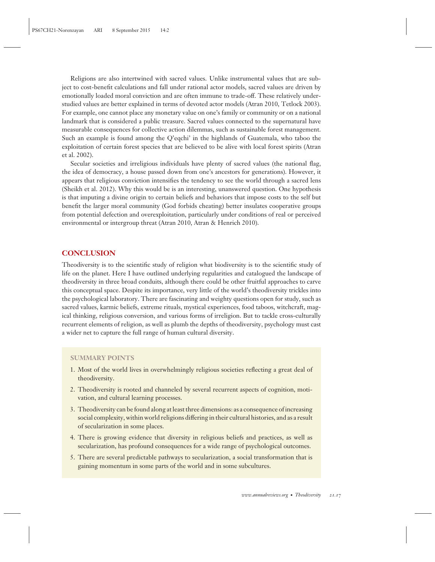Religions are also intertwined with sacred values. Unlike instrumental values that are subject to cost-benefit calculations and fall under rational actor models, sacred values are driven by emotionally loaded moral conviction and are often immune to trade-off. These relatively understudied values are better explained in terms of devoted actor models (Atran 2010, Tetlock 2003). For example, one cannot place any monetary value on one's family or community or on a national landmark that is considered a public treasure. Sacred values connected to the supernatural have measurable consequences for collective action dilemmas, such as sustainable forest management. Such an example is found among the Q'eqchi' in the highlands of Guatemala, who taboo the exploitation of certain forest species that are believed to be alive with local forest spirits (Atran et al. 2002).

Secular societies and irreligious individuals have plenty of sacred values (the national flag, the idea of democracy, a house passed down from one's ancestors for generations). However, it appears that religious conviction intensifies the tendency to see the world through a sacred lens (Sheikh et al. 2012). Why this would be is an interesting, unanswered question. One hypothesis is that imputing a divine origin to certain beliefs and behaviors that impose costs to the self but benefit the larger moral community (God forbids cheating) better insulates cooperative groups from potential defection and overexploitation, particularly under conditions of real or perceived environmental or intergroup threat (Atran 2010, Atran & Henrich 2010).

## **CONCLUSION**

Theodiversity is to the scientific study of religion what biodiversity is to the scientific study of life on the planet. Here I have outlined underlying regularities and catalogued the landscape of theodiversity in three broad conduits, although there could be other fruitful approaches to carve this conceptual space. Despite its importance, very little of the world's theodiversity trickles into the psychological laboratory. There are fascinating and weighty questions open for study, such as sacred values, karmic beliefs, extreme rituals, mystical experiences, food taboos, witchcraft, magical thinking, religious conversion, and various forms of irreligion. But to tackle cross-culturally recurrent elements of religion, as well as plumb the depths of theodiversity, psychology must cast a wider net to capture the full range of human cultural diversity.

#### **SUMMARY POINTS**

- 1. Most of the world lives in overwhelmingly religious societies reflecting a great deal of theodiversity.
- 2. Theodiversity is rooted and channeled by several recurrent aspects of cognition, motivation, and cultural learning processes.
- 3. Theodiversity can be found along at least three dimensions: as a consequence of increasing social complexity, within world religions differing in their cultural histories, and as a result of secularization in some places.
- 4. There is growing evidence that diversity in religious beliefs and practices, as well as secularization, has profound consequences for a wide range of psychological outcomes.
- 5. There are several predictable pathways to secularization, a social transformation that is gaining momentum in some parts of the world and in some subcultures.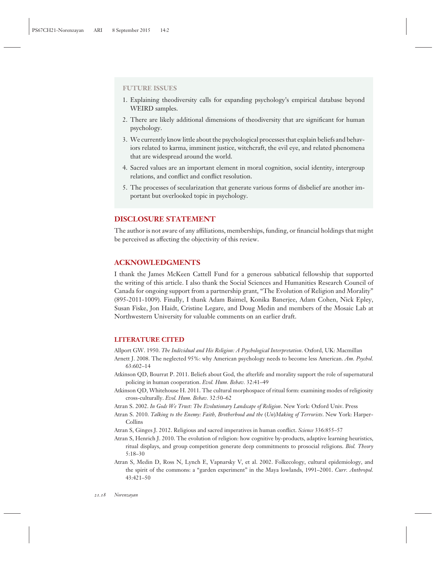#### **FUTURE ISSUES**

- 1. Explaining theodiversity calls for expanding psychology's empirical database beyond WEIRD samples.
- 2. There are likely additional dimensions of theodiversity that are significant for human psychology.
- 3. We currently know little about the psychological processes that explain beliefs and behaviors related to karma, imminent justice, witchcraft, the evil eye, and related phenomena that are widespread around the world.
- 4. Sacred values are an important element in moral cognition, social identity, intergroup relations, and conflict and conflict resolution.
- 5. The processes of secularization that generate various forms of disbelief are another important but overlooked topic in psychology.

# **DISCLOSURE STATEMENT**

The author is not aware of any affiliations, memberships, funding, or financial holdings that might be perceived as affecting the objectivity of this review.

## **ACKNOWLEDGMENTS**

I thank the James McKeen Cattell Fund for a generous sabbatical fellowship that supported the writing of this article. I also thank the Social Sciences and Humanities Research Council of Canada for ongoing support from a partnership grant, "The Evolution of Religion and Morality" (895-2011-1009). Finally, I thank Adam Baimel, Konika Banerjee, Adam Cohen, Nick Epley, Susan Fiske, Jon Haidt, Cristine Legare, and Doug Medin and members of the Mosaic Lab at Northwestern University for valuable comments on an earlier draft.

## **LITERATURE CITED**

Allport GW. 1950. *The Individual and His Religion: A Psychological Interpretation*. Oxford, UK: Macmillan

- Arnett J. 2008. The neglected 95%: why American psychology needs to become less American. *Am. Psychol.* 63:602–14
- Atkinson QD, Bourrat P. 2011. Beliefs about God, the afterlife and morality support the role of supernatural policing in human cooperation. *Evol. Hum. Behav.* 32:41–49
- Atkinson QD, Whitehouse H. 2011. The cultural morphospace of ritual form: examining modes of religiosity cross-culturally. *Evol. Hum. Behav.* 32:50–62
- Atran S. 2002. *In Gods We Trust: The Evolutionary Landscape of Religion*. New York: Oxford Univ. Press
- Atran S. 2010. *Talking to the Enemy: Faith, Brotherhood and the* (*Un*)*Making of Terrorists*. New York: Harper-Collins
- Atran S, Ginges J. 2012. Religious and sacred imperatives in human conflict. *Science* 336:855–57
- Atran S, Henrich J. 2010. The evolution of religion: how cognitive by-products, adaptive learning heuristics, ritual displays, and group competition generate deep commitments to prosocial religions. *Biol. Theory* 5:18–30
- Atran S, Medin D, Ross N, Lynch E, Vapnarsky V, et al. 2002. Folkecology, cultural epidemiology, and the spirit of the commons: a "garden experiment" in the Maya lowlands, 1991–2001. *Curr. Anthropol.* 43:421–50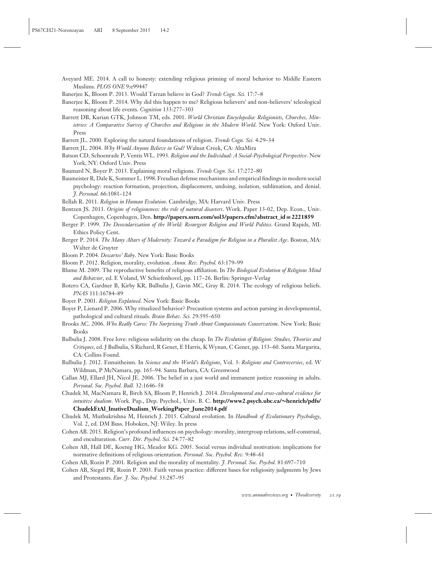Aveyard ME. 2014. A call to honesty: extending religious priming of moral behavior to Middle Eastern Muslims. *PLOS ONE* 9:e99447

Banerjee K, Bloom P. 2013. Would Tarzan believe in God? *Trends Cogn. Sci.* 17:7–8

- Banerjee K, Bloom P. 2014. Why did this happen to me? Religious believers' and non-believers' teleological reasoning about life events. *Cognition* 133:277–303
- Barrett DB, Kurian GTK, Johnson TM, eds. 2001. *World Christian Encyclopedia: Religionists, Churches, Ministries: A Comparative Survey of Churches and Religions in the Modern World*. New York: Oxford Univ. Press
- Barrett JL. 2000. Exploring the natural foundations of religion. *Trends Cogn. Sci.* 4:29–34
- Barrett JL. 2004. *Why Would Anyone Believe in God?* Walnut Creek, CA: AltaMira
- Batson CD, Schoenrade P, Ventis WL. 1993. *Religion and the Individual: A Social-Psychological Perspective*. New York, NY: Oxford Univ. Press

Baumard N, Boyer P. 2013. Explaining moral religions. *Trends Cogn. Sci.* 17:272–80

Baumeister R, Dale K, Sommer L. 1998. Freudian defense mechanisms and empirical findings in modern social psychology: reaction formation, projection, displacement, undoing, isolation, sublimation, and denial. *J. Personal.* 66:1081–124

Bellah R. 2011. *Religion in Human Evolution*. Cambridge, MA: Harvard Univ. Press

- Bentzen JS. 2013. *Origins of religiousness: the role of natural disasters*. Work. Paper 13-02, Dep. Econ., Univ. Copenhagen, Copenhagen, Den. **[http://papers.ssrn.com/sol3/papers.cfm?abstract\\_id](http://papers.ssrn.com/sol3/papers.cfm?abstract_id=2221859) = 2221859**
- Berger P. 1999. *The Desecularization of the World: Resurgent Religion and World Politics*. Grand Rapids, MI: Ethics Policy Cent.
- Berger P. 2014. *The Many Altars of Modernity: Toward a Paradigm for Religion in a Pluralist Age*. Boston, MA: Walter de Gruyter
- Bloom P. 2004. *Descartes' Baby*. New York: Basic Books
- Bloom P. 2012. Religion, morality, evolution. *Annu. Rev. Psychol.* 63:179–99
- Blume M. 2009. The reproductive benefits of religious affiliation. In *The Biological Evolution of Religious Mind and Behavior*, ed. E Voland, W Schiefenhovel, pp. 117–26. Berlin: Springer-Verlag
- Botero CA, Gardner B, Kirby KR, Bulbulia J, Gavin MC, Gray R. 2014. The ecology of religious beliefs. *PNAS* 111:16784–89
- Boyer P. 2001. *Religion Explained*. New York: Basic Books
- Boyer P, Lienard P. 2006. Why ritualized behavior? Precaution systems and action parsing in developmental, pathological and cultural rituals. *Brain Behav. Sci.* 29:595–650
- Brooks AC. 2006. *Who Really Cares: The Surprising Truth About Compassionate Conservatism*. New York: Basic Books
- Bulbulia J. 2008. Free love: religious solidarity on the cheap. In *The Evolution of Religion: Studies, Theories and Critiques*, ed. J Bulbulia, S Richard, R Genet, E Harris, K Wynan, C Genet, pp. 153–60. Santa Margarita, CA: Collins Found.
- Bulbulia J. 2012. Ennuitheism. In *Science and the World's Religions*, Vol. 3: *Religions and Controversies*, ed. W Wildman, P McNamara, pp. 165–94. Santa Barbara, CA: Greenwood
- Callan MJ, Ellard JH, Nicol JE. 2006. The belief in a just world and immanent justice reasoning in adults. *Personal. Soc. Psychol. Bull.* 32:1646–58
- Chudek M, MacNamara R, Birch SA, Bloom P, Henrich J. 2014. *Developmental and cross-cultural evidence for intuitive dualism*. Work. Pap., Dep. Psychol., Univ. B. C. **[http://www2.psych.ubc.ca/](http://www2.psych.ubc.ca/henrich/pdfs/ChudekEtAl_InutiveDualism_WorkingPaper_June2014.pdf)∼henrich/pdfs/ [ChudekEtAl\\_InutiveDualism\\_WorkingPaper\\_June2014.pdf](http://www2.psych.ubc.ca/henrich/pdfs/ChudekEtAl_InutiveDualism_WorkingPaper_June2014.pdf)**
- Chudek M, Muthukrishna M, Henrich J. 2015. Cultural evolution. In *Handbook of Evolutionary Psychology*, Vol. 2, ed. DM Buss. Hoboken, NJ: Wiley. In press
- Cohen AB. 2015. Religion's profound influences on psychology: morality, intergroup relations, self-construal, and enculturation. *Curr. Dir. Psychol. Sci.* 24:77–82
- Cohen AB, Hall DE, Koenig HG, Meador KG. 2005. Social versus individual motivation: implications for normative definitions of religious orientation. *Personal. Soc. Psychol. Rev.* 9:48–61
- Cohen AB, Rozin P. 2001. Religion and the morality of mentality. *J. Personal. Soc. Psychol.* 81:697–710
- Cohen AB, Siegel PR, Rozin P. 2003. Faith versus practice: different bases for religiosity judgments by Jews and Protestants. *Eur. J. Soc. Psychol.* 33:287–95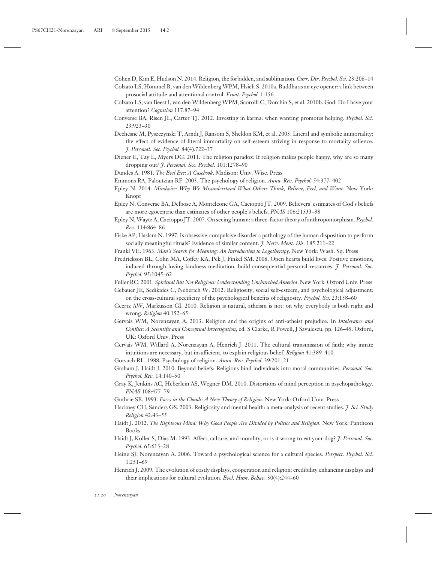- Cohen D, Kim E, Hudson N. 2014. Religion, the forbidden, and sublimation. *Curr. Dir. Psychol. Sci.* 23:208–14 Colzato LS, Hommel B, van den Wildenberg WPM, Hsieh S. 2010a. Buddha as an eye opener: a link between prosocial attitude and attentional control. *Front. Psychol.* 1:156
- Colzato LS, van Beest I, van den Wildenberg WPM, Scorolli C, Dorchin S, et al. 2010b. God: Do I have your attention? *Cognition* 117:87–94
- Converse BA, Risen JL, Carter TJ. 2012. Investing in karma: when wanting promotes helping. *Psychol. Sci.* 23:923–30
- Dechesne M, Pyszczynski T, Arndt J, Ransom S, Sheldon KM, et al. 2003. Literal and symbolic immortality: the effect of evidence of literal immortality on self-esteem striving in response to mortality salience. *J. Personal. Soc. Psychol.* 84(4):722–37
- Diener E, Tay L, Myers DG. 2011. The religion paradox: If religion makes people happy, why are so many dropping out? *J. Personal. Soc. Psychol.* 101:1278–90
- Dundes A. 1981. *The Evil Eye: A Casebook*. Madison: Univ. Wisc. Press
- Emmons RA, Paloutzian RF. 2003. The psychology of religion. *Annu. Rev. Psychol.* 54:377–402
- Epley N. 2014. *Mindwise: Why We Misunderstand What Others Think, Believe, Feel, and Want*. New York: Knopf
- Epley N, Converse BA, Delbosc A, Monteleone GA, Cacioppo JT. 2009. Believers' estimates of God's beliefs are more egocentric than estimates of other people's beliefs. *PNAS* 106:21533–38
- Epley N, Waytz A, Cacioppo JT. 2007. On seeing human: a three-factor theory of anthropomorphism. *Psychol. Rev.* 114:864–86
- Fiske AP, Haslam N. 1997. Is obsessive-compulsive disorder a pathology of the human disposition to perform socially meaningful rituals? Evidence of similar content. *J. Nerv. Ment. Dis.* 185:211–22
- Frankl VE. 1963. *Man's Search for Meaning: An Introduction to Logotherapy*. New York: Wash. Sq. Press
- Fredrickson BL, Cohn MA, Coffey KA, Pek J, Finkel SM. 2008. Open hearts build lives: Positive emotions, induced through loving-kindness meditation, build consequential personal resources. *J. Personal. Soc. Psychol.* 95:1045–62
- Fuller RC. 2001. *Spiritual But Not Religious: Understanding Unchurched America*. New York: Oxford Univ. Press
- Gebauer JE, Sedikides C, Neberich W. 2012. Religiosity, social self-esteem, and psychological adjustment: on the cross-cultural specificity of the psychological benefits of religiosity. *Psychol. Sci.* 23:158–60
- Geertz AW, Markusson GI. 2010. Religion is natural, atheism is not: on why everybody is both right and wrong. *Religion* 40:152–65
- Gervais WM, Norenzayan A. 2013. Religion and the origins of anti-atheist prejudice. In *Intolerance and Conflict: A Scientific and Conceptual Investigation*, ed. S Clarke, R Powell, J Savulescu, pp. 126–45. Oxford, UK: Oxford Univ. Press
- Gervais WM, Willard A, Norenzayan A, Henrich J. 2011. The cultural transmission of faith: why innate intuitions are necessary, but insufficient, to explain religious belief. *Religion* 41:389–410

Gorsuch RL. 1988. Psychology of religion. *Annu. Rev. Psychol.* 39:201–21

- Graham J, Haidt J. 2010. Beyond beliefs: Religions bind individuals into moral communities. *Personal. Soc. Psychol. Rev.* 14:140–50
- Gray K, Jenkins AC, Heberlein AS, Wegner DM. 2010. Distortions of mind perception in psychopathology. *PNAS* 108:477–79
- Guthrie SE. 1993. *Faces in the Clouds: A New Theory of Religion*. New York: Oxford Univ. Press
- Hackney CH, Sanders GS. 2003. Religiosity and mental health: a meta-analysis of recent studies. *J. Sci. Study Religion* 42:43–55
- Haidt J. 2012. *The Righteous Mind: Why Good People Are Divided by Politics and Religion*. New York: Pantheon Books
- Haidt J, Koller S, Dias M. 1993. Affect, culture, and morality, or is it wrong to eat your dog? *J. Personal. Soc. Psychol.* 65:613–28
- Heine SJ, Norenzayan A. 2006. Toward a psychological science for a cultural species. *Perspect. Psychol. Sci.* 1:251–69
- Henrich J. 2009. The evolution of costly displays, cooperation and religion: credibility enhancing displays and their implications for cultural evolution. *Evol. Hum. Behav.* 30(4):244–60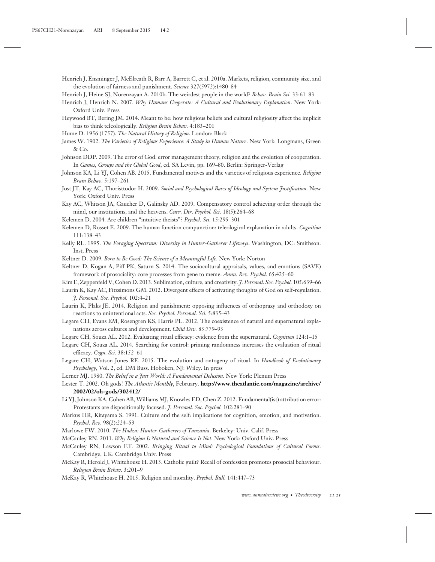- Henrich J, Ensminger J, McElreath R, Barr A, Barrett C, et al. 2010a. Markets, religion, community size, and the evolution of fairness and punishment. *Science* 327(5972):1480–84
- Henrich J, Heine SJ, Norenzayan A. 2010b. The weirdest people in the world? *Behav. Brain Sci.* 33:61–83
- Henrich J, Henrich N. 2007. *Why Humans Cooperate: A Cultural and Evolutionary Explanation*. New York: Oxford Univ. Press
- Heywood BT, Bering JM. 2014. Meant to be: how religious beliefs and cultural religiosity affect the implicit bias to think teleologically. *Religion Brain Behav.* 4:183–201
- Hume D. 1956 (1757). *The Natural History of Religion*. London: Black
- James W. 1902. *The Varieties of Religious Experience: A Study in Human Nature*. New York: Longmans, Green & Co.
- Johnson DDP. 2009. The error of God: error management theory, religion and the evolution of cooperation. In *Games, Groups and the Global Good*, ed. SA Levin, pp. 169–80. Berlin: Springer-Verlag
- Johnson KA, Li YJ, Cohen AB. 2015. Fundamental motives and the varieties of religious experience. *Religion Brain Behav.* 5:197–261
- Jost JT, Kay AC, Thoristtodor H. 2009. *Social and Psychological Bases of Ideology and System Justification*. New York: Oxford Univ. Press
- Kay AC, Whitson JA, Gaucher D, Galinsky AD. 2009. Compensatory control achieving order through the mind, our institutions, and the heavens. *Curr. Dir. Psychol. Sci.* 18(5):264–68
- Kelemen D. 2004. Are children "intuitive theists"? *Psychol. Sci.* 15:295–301
- Kelemen D, Rosset E. 2009. The human function compunction: teleological explanation in adults. *Cognition* 111:138–43
- Kelly RL. 1995. *The Foraging Spectrum: Diversity in Hunter-Gatherer Lifeways*. Washington, DC: Smithson. Inst. Press
- Keltner D. 2009. *Born to Be Good: The Science of a Meaningful Life*. New York: Norton
- Keltner D, Kogan A, Piff PK, Saturn S. 2014. The sociocultural appraisals, values, and emotions (SAVE) framework of prosociality: core processes from gene to meme. *Annu. Rev. Psychol.* 65:425–60
- Kim E, Zeppenfeld V, Cohen D. 2013. Sublimation, culture, and creativity. *J. Personal. Soc. Psychol.* 105:639–66
- Laurin K, Kay AC, Fitzsimons GM. 2012. Divergent effects of activating thoughts of God on self-regulation. *J. Personal. Soc. Psychol.* 102:4–21
- Laurin K, Plaks JE. 2014. Religion and punishment: opposing influences of orthopraxy and orthodoxy on reactions to unintentional acts. *Soc. Psychol. Personal. Sci.* 5:835–43
- Legare CH, Evans EM, Rosengren KS, Harris PL. 2012. The coexistence of natural and supernatural explanations across cultures and development. *Child Dev.* 83:779–93
- Legare CH, Souza AL. 2012. Evaluating ritual efficacy: evidence from the supernatural. *Cognition* 124:1–15
- Legare CH, Souza AL. 2014. Searching for control: priming randomness increases the evaluation of ritual efficacy. *Cogn. Sci.* 38:152–61
- Legare CH, Watson-Jones RE. 2015. The evolution and ontogeny of ritual. In *Handbook of Evolutionary Psychology*, Vol. 2, ed. DM Buss. Hoboken, NJ: Wiley. In press

Lerner MJ. 1980. *The Belief in a Just World: A Fundamental Delusion*. New York: Plenum Press

Lester T. 2002. Oh gods! *The Atlantic Monthly*, February. **[http://www.theatlantic.com/magazine/archive/](http://www.theatlantic.com/magazine/archive/2002/02/oh-gods/302412/) [2002/02/oh-gods/302412/](http://www.theatlantic.com/magazine/archive/2002/02/oh-gods/302412/)**

- Li YJ, Johnson KA, Cohen AB, Williams MJ, Knowles ED, Chen Z. 2012. Fundamental(ist) attribution error: Protestants are dispositionally focused. *J. Personal. Soc. Psychol.* 102:281–90
- Markus HR, Kitayama S. 1991. Culture and the self: implications for cognition, emotion, and motivation. *Psychol. Rev.* 98(2):224–53
- Marlowe FW. 2010. *The Hadza: Hunter-Gatherers of Tanzania*. Berkeley: Univ. Calif. Press
- McCauley RN. 2011. *Why Religion Is Natural and Science Is Not*. New York: Oxford Univ. Press
- McCauley RN, Lawson ET. 2002. *Bringing Ritual to Mind: Psychological Foundations of Cultural Forms*. Cambridge, UK: Cambridge Univ. Press
- McKay R, Herold J, Whitehouse H. 2013. Catholic guilt? Recall of confession promotes prosocial behaviour. *Religion Brain Behav.* 3:201–9
- McKay R, Whitehouse H. 2015. Religion and morality. *Psychol. Bull.* 141:447–73

*www.annualreviews.org* • *Theodiversity 21.21*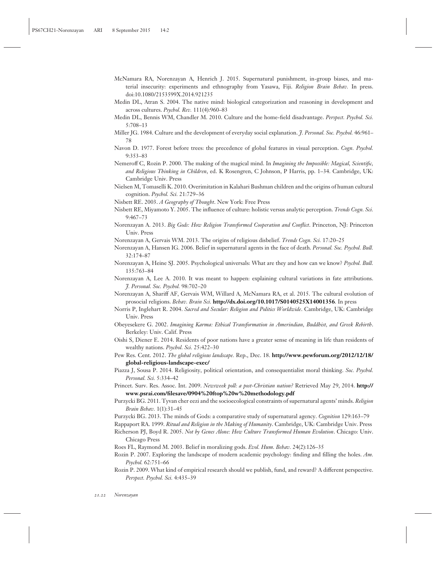- McNamara RA, Norenzayan A, Henrich J. 2015. Supernatural punishment, in-group biases, and material insecurity: experiments and ethnography from Yasawa, Fiji. *Religion Brain Behav.* In press. doi:10.1080/2153599X.2014.921235
- Medin DL, Atran S. 2004. The native mind: biological categorization and reasoning in development and across cultures. *Psychol. Rev.* 111(4):960–83
- Medin DL, Bennis WM, Chandler M. 2010. Culture and the home-field disadvantage. *Perspect. Psychol. Sci.* 5:708–13
- Miller JG. 1984. Culture and the development of everyday social explanation. *J. Personal. Soc. Psychol.* 46:961– 78
- Navon D. 1977. Forest before trees: the precedence of global features in visual perception. *Cogn. Psychol.* 9:353–83
- Nemeroff C, Rozin P. 2000. The making of the magical mind. In *Imagining the Impossible: Magical, Scientific, and Religious Thinking in Children*, ed. K Rosengren, C Johnson, P Harris, pp. 1–34. Cambridge, UK: Cambridge Univ. Press
- Nielsen M, Tomaselli K. 2010. Overimitation in Kalahari Bushman children and the origins of human cultural cognition. *Psychol. Sci.* 21:729–36
- Nisbett RE. 2003. *A Geography of Thought*. New York: Free Press
- Nisbett RE, Miyamoto Y. 2005. The influence of culture: holistic versus analytic perception. *Trends Cogn. Sci.* 9:467–73
- Norenzayan A. 2013. *Big Gods: How Religion Transformed Cooperation and Conflict*. Princeton, NJ: Princeton Univ. Press
- Norenzayan A, Gervais WM. 2013. The origins of religious disbelief. *Trends Cogn. Sci.* 17:20–25
- Norenzayan A, Hansen IG. 2006. Belief in supernatural agents in the face of death. *Personal. Soc. Psychol. Bull.* 32:174–87
- Norenzayan A, Heine SJ. 2005. Psychological universals: What are they and how can we know? *Psychol. Bull.* 135:763–84
- Norenzayan A, Lee A. 2010. It was meant to happen: explaining cultural variations in fate attributions. *J. Personal. Soc. Psychol.* 98:702–20
- Norenzayan A, Shariff AF, Gervais WM, Willard A, McNamara RA, et al. 2015. The cultural evolution of prosocial religions. *Behav. Brain Sci.* **<http://dx.doi.org/10.1017/S0140525X14001356>**. In press
- Norris P, Inglehart R. 2004. *Sacred and Secular: Religion and Politics Worldwide*. Cambridge, UK: Cambridge Univ. Press
- Obeyesekere G. 2002. *Imagining Karma: Ethical Transformation in Amerindian, Buddhist, and Greek Rebirth*. Berkeley: Univ. Calif. Press
- Oishi S, Diener E. 2014. Residents of poor nations have a greater sense of meaning in life than residents of wealthy nations. *Psychol. Sci.* 25:422–30
- Pew Res. Cent. 2012. *The global religious landscape.* Rep., Dec. 18. **[http://www.pewforum.org/2012/12/18/](http://www.pewforum.org/2012/12/18/global-religious-landscape-exec/) [global-religious-landscape-exec/](http://www.pewforum.org/2012/12/18/global-religious-landscape-exec/)**
- Piazza J, Sousa P. 2014. Religiosity, political orientation, and consequentialist moral thinking. *Soc. Psychol. Personal. Sci.* 5:334–42
- Princet. Surv. Res. Assoc. Int. 2009. *Newsweek poll: a post-Christian nation?* Retrieved May 29, 2014. **[http://](http://www.psrai.com/filesave/0904%20ftop%20w%20methodology.pdf) [www.psrai.com/filesave/0904%20ftop%20w%20methodology.pdf](http://www.psrai.com/filesave/0904%20ftop%20w%20methodology.pdf)**
- Purzycki BG. 2011. Tyvan cher eezi and the socioecological constraints of supernatural agents' minds. *Religion Brain Behav.* 1(1):31–45
- Purzycki BG. 2013. The minds of Gods: a comparative study of supernatural agency. *Cognition* 129:163–79
- Rappaport RA. 1999. *Ritual and Religion in the Making of Humanity*. Cambridge, UK: Cambridge Univ. Press
- Richerson PJ, Boyd R. 2005. *Not by Genes Alone: How Culture Transformed Human Evolution*. Chicago: Univ. Chicago Press
- Roes FL, Raymond M. 2003. Belief in moralizing gods. *Evol. Hum. Behav.* 24(2):126–35
- Rozin P. 2007. Exploring the landscape of modern academic psychology: finding and filling the holes. *Am. Psychol.* 62:751–66
- Rozin P. 2009. What kind of empirical research should we publish, fund, and reward? A different perspective. *Perspect. Psychol. Sci.* 4:435–39

*<sup>21.22</sup> Norenzayan*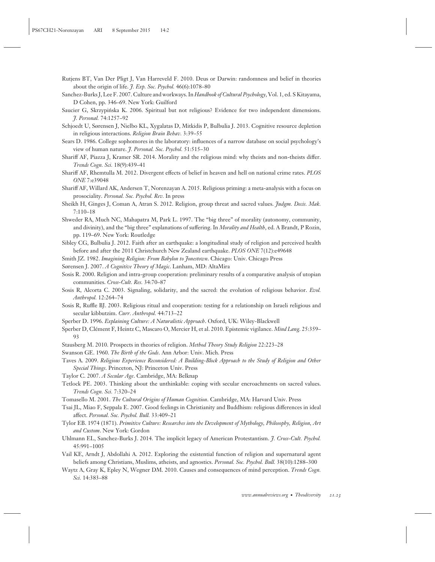- Rutjens BT, Van Der Pligt J, Van Harreveld F. 2010. Deus or Darwin: randomness and belief in theories about the origin of life. *J. Exp. Soc. Psychol.* 46(6):1078–80
- Sanchez-Burks J, Lee F. 2007. Culture and workways. In *Handbook of Cultural Psychology*, Vol. 1, ed. S Kitayama, D Cohen, pp. 346–69. New York: Guilford
- Saucier G, Skrzypinska K. 2006. Spiritual but not religious? Evidence for two independent dimensions. ´ *J. Personal.* 74:1257–92
- Schjoedt U, Sørensen J, Nielbo KL, Xygalatas D, Mitkidis P, Bulbulia J. 2013. Cognitive resource depletion in religious interactions. *Religion Brain Behav.* 3:39–55
- Sears D. 1986. College sophomores in the laboratory: influences of a narrow database on social psychology's view of human nature. *J. Personal. Soc. Psychol.* 51:515–30
- Shariff AF, Piazza J, Kramer SR. 2014. Morality and the religious mind: why theists and non-theists differ. *Trends Cogn. Sci.* 18(9):439–41
- Shariff AF, Rhemtulla M. 2012. Divergent effects of belief in heaven and hell on national crime rates. *PLOS ONE* 7:e39048
- Shariff AF, Willard AK, Andersen T, Norenzayan A. 2015. Religious priming: a meta-analysis with a focus on prosociality. *Personal. Soc. Psychol. Rev.* In press
- Sheikh H, Ginges J, Coman A, Atran S. 2012. Religion, group threat and sacred values. *Judgm. Decis. Mak.* 7:110–18
- Shweder RA, Much NC, Mahapatra M, Park L. 1997. The "big three" of morality (autonomy, community, and divinity), and the "big three" explanations of suffering. In *Morality and Health*, ed. A Brandt, P Rozin, pp. 119–69. New York: Routledge
- Sibley CG, Bulbulia J. 2012. Faith after an earthquake: a longitudinal study of religion and perceived health before and after the 2011 Christchurch New Zealand earthquake. *PLOS ONE* 7(12):e49648
- Smith JZ. 1982. *Imagining Religion: From Babylon to Jonestown*. Chicago: Univ. Chicago Press
- Sørensen J. 2007. *A Cognitive Theory of Magic*. Lanham, MD: AltaMira
- Sosis R. 2000. Religion and intra-group cooperation: preliminary results of a comparative analysis of utopian communities. *Cross-Cult. Res.* 34:70–87
- Sosis R, Alcorta C. 2003. Signaling, solidarity, and the sacred: the evolution of religious behavior. *Evol. Anthropol.* 12:264–74
- Sosis R, Ruffle BJ. 2003. Religious ritual and cooperation: testing for a relationship on Israeli religious and secular kibbutzim. *Curr. Anthropol.* 44:713–22
- Sperber D. 1996. *Explaining Culture: A Naturalistic Approach*. Oxford, UK: Wiley-Blackwell
- Sperber D, Clément F, Heintz C, Mascaro O, Mercier H, et al. 2010. Epistemic vigilance. *Mind Lang.* 25:359– 93
- Stausberg M. 2010. Prospects in theories of religion. *Method Theory Study Religion* 22:223–28
- Swanson GE. 1960. *The Birth of the Gods*. Ann Arbor: Univ. Mich. Press
- Taves A. 2009. *Religious Experience Reconsidered: A Building-Block Approach to the Study of Religion and Other Special Things*. Princeton, NJ: Princeton Univ. Press
- Taylor C. 2007. *A Secular Age*. Cambridge, MA: Belknap
- Tetlock PE. 2003. Thinking about the unthinkable: coping with secular encroachments on sacred values. *Trends Cogn. Sci.* 7:320–24
- Tomasello M. 2001. *The Cultural Origins of Human Cognition*. Cambridge, MA: Harvard Univ. Press
- Tsai JL, Miao F, Seppala E. 2007. Good feelings in Christianity and Buddhism: religious differences in ideal affect. *Personal. Soc. Psychol. Bull.* 33:409–21
- Tylor EB. 1974 (1871). *Primitive Culture: Researches into the Development of Mythology, Philosophy, Religion, Art and Custom*. New York: Gordon
- Uhlmann EL, Sanchez-Burks J. 2014. The implicit legacy of American Protestantism. *J. Cross-Cult. Psychol.* 45:991–1005
- Vail KE, Arndt J, Abdollahi A. 2012. Exploring the existential function of religion and supernatural agent beliefs among Christians, Muslims, atheists, and agnostics. *Personal. Soc. Psychol. Bull.* 38(10):1288–300
- Waytz A, Gray K, Epley N, Wegner DM. 2010. Causes and consequences of mind perception. *Trends Cogn. Sci.* 14:383–88